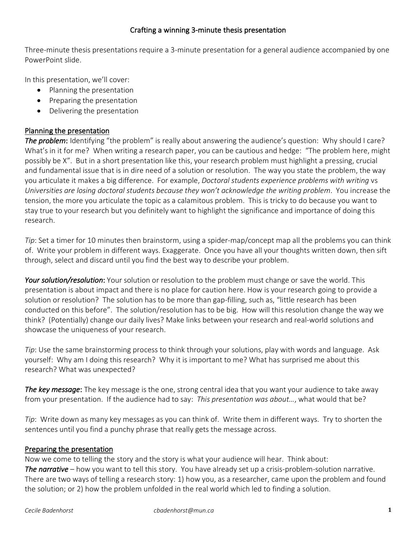### Crafting a winning 3-minute thesis presentation

Three-minute thesis presentations require a 3-minute presentation for a general audience accompanied by one PowerPoint slide.

In this presentation, we'll cover:

- Planning the presentation
- Preparing the presentation
- Delivering the presentation

### Planning the presentation

*The problem*: Identifying "the problem" is really about answering the audience's question: Why should I care? What's in it for me? When writing a research paper, you can be cautious and hedge: "The problem here, might possibly be X". But in a short presentation like this, your research problem must highlight a pressing, crucial and fundamental issue that is in dire need of a solution or resolution. The way you state the problem, the way you articulate it makes a big difference. For example, *Doctoral students experience problems with writing* vs *Universities are losing doctoral students because they won't acknowledge the writing problem*. You increase the tension, the more you articulate the topic as a calamitous problem. This is tricky to do because you want to stay true to your research but you definitely want to highlight the significance and importance of doing this research.

*Tip*: Set a timer for 10 minutes then brainstorm, using a spider-map/concept map all the problems you can think of. Write your problem in different ways. Exaggerate. Once you have all your thoughts written down, then sift through, select and discard until you find the best way to describe your problem.

*Your solution/resolution*: Your solution or resolution to the problem must change or save the world. This presentation is about impact and there is no place for caution here. How is your research going to provide a solution or resolution? The solution has to be more than gap-filling, such as, "little research has been conducted on this before". The solution/resolution has to be big. How will this resolution change the way we think? (Potentially) change our daily lives? Make links between your research and real-world solutions and showcase the uniqueness of your research.

*Tip*: Use the same brainstorming process to think through your solutions, play with words and language. Ask yourself: Why am I doing this research? Why it is important to me? What has surprised me about this research? What was unexpected?

*The key message*: The key message is the one, strong central idea that you want your audience to take away from your presentation. If the audience had to say: *This presentation was about…*, what would that be?

*Tip*: Write down as many key messages as you can think of. Write them in different ways. Try to shorten the sentences until you find a punchy phrase that really gets the message across.

#### Preparing the presentation

Now we come to telling the story and the story is what your audience will hear. Think about: *The narrative* – how you want to tell this story. You have already set up a crisis-problem-solution narrative. There are two ways of telling a research story: 1) how you, as a researcher, came upon the problem and found the solution; or 2) how the problem unfolded in the real world which led to finding a solution.